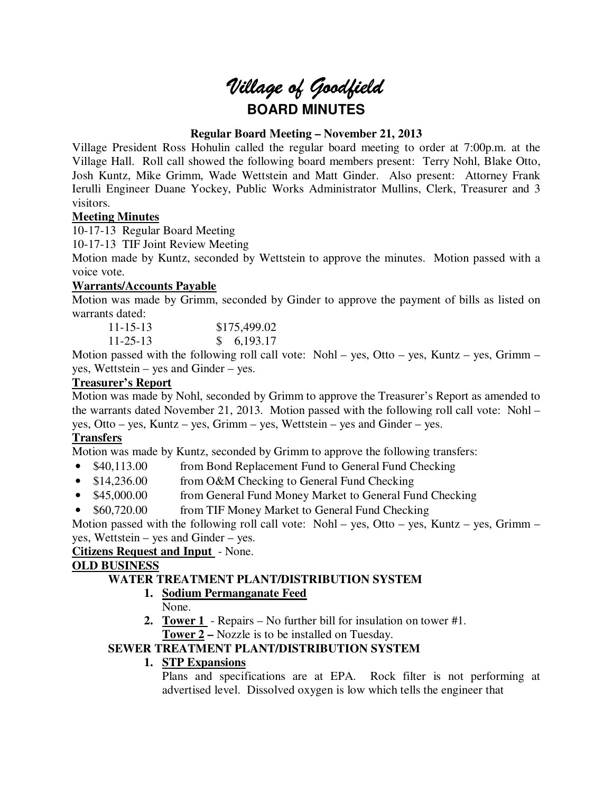# *Village of Goodfield* **BOARD MINUTES**

# **Regular Board Meeting – November 21, 2013**

Village President Ross Hohulin called the regular board meeting to order at 7:00p.m. at the Village Hall. Roll call showed the following board members present: Terry Nohl, Blake Otto, Josh Kuntz, Mike Grimm, Wade Wettstein and Matt Ginder. Also present: Attorney Frank Ierulli Engineer Duane Yockey, Public Works Administrator Mullins, Clerk, Treasurer and 3 visitors.

# **Meeting Minutes**

10-17-13 Regular Board Meeting

10-17-13 TIF Joint Review Meeting

Motion made by Kuntz, seconded by Wettstein to approve the minutes. Motion passed with a voice vote.

# **Warrants/Accounts Payable**

Motion was made by Grimm, seconded by Ginder to approve the payment of bills as listed on warrants dated:

| $11 - 15 - 13$ | \$175,499.02 |
|----------------|--------------|
| $11 - 25 - 13$ | \$6,193.17   |

Motion passed with the following roll call vote: Nohl – yes, Otto – yes, Kuntz – yes, Grimm – yes, Wettstein – yes and Ginder – yes.

# **Treasurer's Report**

Motion was made by Nohl, seconded by Grimm to approve the Treasurer's Report as amended to the warrants dated November 21, 2013. Motion passed with the following roll call vote: Nohl – yes, Otto – yes, Kuntz – yes, Grimm – yes, Wettstein – yes and Ginder – yes.

# **Transfers**

Motion was made by Kuntz, seconded by Grimm to approve the following transfers:

- \$40,113.00 from Bond Replacement Fund to General Fund Checking
- \$14,236.00 from O&M Checking to General Fund Checking
- \$45,000.00 from General Fund Money Market to General Fund Checking
- \$60,720.00 from TIF Money Market to General Fund Checking

Motion passed with the following roll call vote: Nohl – yes, Otto – yes, Kuntz – yes, Grimm – yes, Wettstein – yes and Ginder – yes.

# **Citizens Request and Input** - None.

# **OLD BUSINESS**

# **WATER TREATMENT PLANT/DISTRIBUTION SYSTEM**

# **1. Sodium Permanganate Feed**

- None.
- **2. Tower 1**  Repairs No further bill for insulation on tower #1. **Tower 2 –** Nozzle is to be installed on Tuesday.

# **SEWER TREATMENT PLANT/DISTRIBUTION SYSTEM**

# **1. STP Expansions**

Plans and specifications are at EPA. Rock filter is not performing at advertised level. Dissolved oxygen is low which tells the engineer that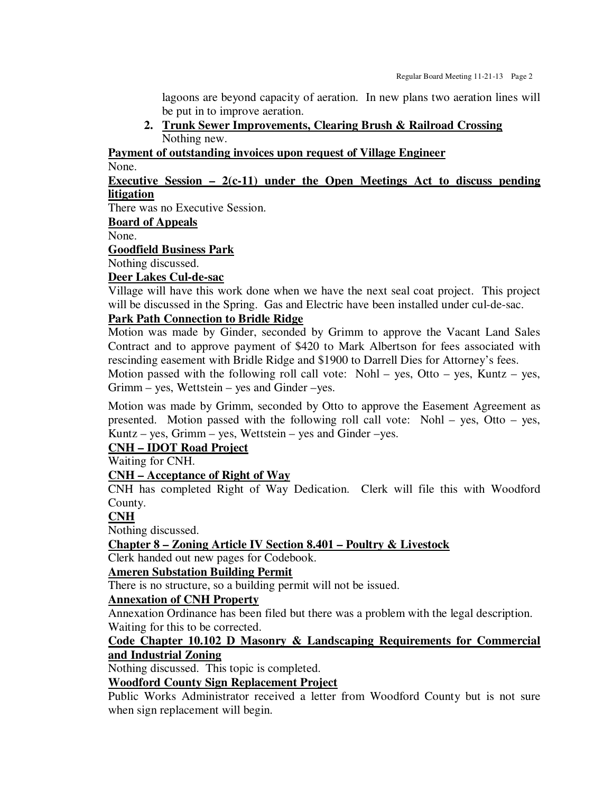lagoons are beyond capacity of aeration. In new plans two aeration lines will be put in to improve aeration.

**2. Trunk Sewer Improvements, Clearing Brush & Railroad Crossing**  Nothing new.

**Payment of outstanding invoices upon request of Village Engineer** 

None.

# **Executive Session – 2(c-11) under the Open Meetings Act to discuss pending litigation**

There was no Executive Session.

**Board of Appeals** 

None.

**Goodfield Business Park** 

Nothing discussed.

# **Deer Lakes Cul-de-sac**

Village will have this work done when we have the next seal coat project. This project will be discussed in the Spring. Gas and Electric have been installed under cul-de-sac.

# **Park Path Connection to Bridle Ridge**

Motion was made by Ginder, seconded by Grimm to approve the Vacant Land Sales Contract and to approve payment of \$420 to Mark Albertson for fees associated with rescinding easement with Bridle Ridge and \$1900 to Darrell Dies for Attorney's fees.

Motion passed with the following roll call vote: Nohl – yes, Otto – yes, Kuntz – yes, Grimm – yes, Wettstein – yes and Ginder –yes.

Motion was made by Grimm, seconded by Otto to approve the Easement Agreement as presented. Motion passed with the following roll call vote: Nohl – yes, Otto – yes, Kuntz – yes, Grimm – yes, Wettstein – yes and Ginder – yes.

# **CNH – IDOT Road Project**

Waiting for CNH.

# **CNH – Acceptance of Right of Way**

CNH has completed Right of Way Dedication. Clerk will file this with Woodford County.

# **CNH**

Nothing discussed.

# **Chapter 8 – Zoning Article IV Section 8.401 – Poultry & Livestock**

Clerk handed out new pages for Codebook.

# **Ameren Substation Building Permit**

There is no structure, so a building permit will not be issued.

# **Annexation of CNH Property**

Annexation Ordinance has been filed but there was a problem with the legal description. Waiting for this to be corrected.

# **Code Chapter 10.102 D Masonry & Landscaping Requirements for Commercial and Industrial Zoning**

Nothing discussed. This topic is completed.

# **Woodford County Sign Replacement Project**

Public Works Administrator received a letter from Woodford County but is not sure when sign replacement will begin.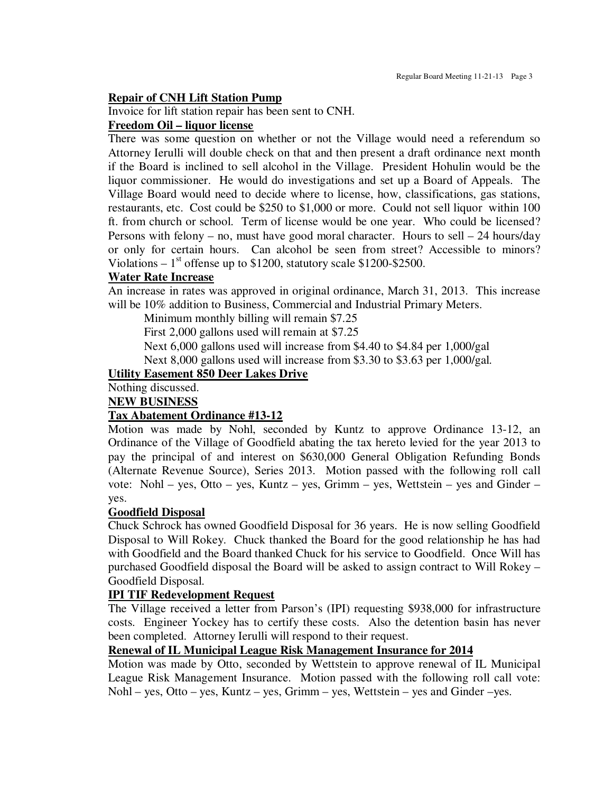### **Repair of CNH Lift Station Pump**

Invoice for lift station repair has been sent to CNH.

#### **Freedom Oil – liquor license**

There was some question on whether or not the Village would need a referendum so Attorney Ierulli will double check on that and then present a draft ordinance next month if the Board is inclined to sell alcohol in the Village. President Hohulin would be the liquor commissioner. He would do investigations and set up a Board of Appeals. The Village Board would need to decide where to license, how, classifications, gas stations, restaurants, etc. Cost could be \$250 to \$1,000 or more. Could not sell liquor within 100 ft. from church or school. Term of license would be one year. Who could be licensed? Persons with felony – no, must have good moral character. Hours to sell – 24 hours/day or only for certain hours. Can alcohol be seen from street? Accessible to minors? Violations –  $1<sup>st</sup>$  offense up to \$1200, statutory scale \$1200-\$2500.

# **Water Rate Increase**

An increase in rates was approved in original ordinance, March 31, 2013. This increase will be 10% addition to Business, Commercial and Industrial Primary Meters.

Minimum monthly billing will remain \$7.25

First 2,000 gallons used will remain at \$7.25

Next 6,000 gallons used will increase from \$4.40 to \$4.84 per 1,000/gal

Next 8,000 gallons used will increase from \$3.30 to \$3.63 per 1,000/gal.

#### **Utility Easement 850 Deer Lakes Drive**

Nothing discussed.

## **NEW BUSINESS**

# **Tax Abatement Ordinance #13-12**

Motion was made by Nohl, seconded by Kuntz to approve Ordinance 13-12, an Ordinance of the Village of Goodfield abating the tax hereto levied for the year 2013 to pay the principal of and interest on \$630,000 General Obligation Refunding Bonds (Alternate Revenue Source), Series 2013. Motion passed with the following roll call vote: Nohl – yes, Otto – yes, Kuntz – yes, Grimm – yes, Wettstein – yes and Ginder – yes.

#### **Goodfield Disposal**

Chuck Schrock has owned Goodfield Disposal for 36 years. He is now selling Goodfield Disposal to Will Rokey. Chuck thanked the Board for the good relationship he has had with Goodfield and the Board thanked Chuck for his service to Goodfield. Once Will has purchased Goodfield disposal the Board will be asked to assign contract to Will Rokey – Goodfield Disposal.

# **IPI TIF Redevelopment Request**

The Village received a letter from Parson's (IPI) requesting \$938,000 for infrastructure costs. Engineer Yockey has to certify these costs. Also the detention basin has never been completed. Attorney Ierulli will respond to their request.

# **Renewal of IL Municipal League Risk Management Insurance for 2014**

Motion was made by Otto, seconded by Wettstein to approve renewal of IL Municipal League Risk Management Insurance. Motion passed with the following roll call vote: Nohl – yes, Otto – yes, Kuntz – yes, Grimm – yes, Wettstein – yes and Ginder –yes.